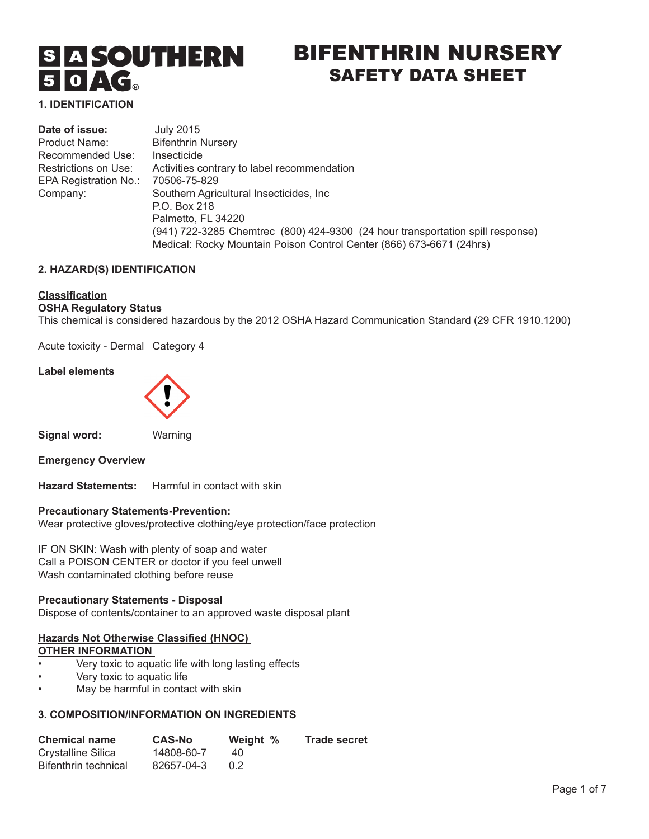# **SIA SOUTHERN**  $50 \triangle G$

## BIFENTHRIN NURSERY SAFETY DATA SHEET

**1. IDENTIFICATION** 

| Date of issue:        | <b>July 2015</b>                                                               |
|-----------------------|--------------------------------------------------------------------------------|
| Product Name:         | <b>Bifenthrin Nursery</b>                                                      |
| Recommended Use:      | Insecticide                                                                    |
| Restrictions on Use:  | Activities contrary to label recommendation                                    |
| EPA Registration No.: | 70506-75-829                                                                   |
| Company:              | Southern Agricultural Insecticides, Inc.                                       |
|                       | P.O. Box 218                                                                   |
|                       | Palmetto, FL 34220                                                             |
|                       | (941) 722-3285 Chemtrec (800) 424-9300 (24 hour transportation spill response) |
|                       | Medical: Rocky Mountain Poison Control Center (866) 673-6671 (24hrs)           |

#### **2. HAZARD(S) IDENTIFICATION**

#### **Classification**

## **OSHA Regulatory Status**

This chemical is considered hazardous by the 2012 OSHA Hazard Communication Standard (29 CFR 1910.1200)

Acute toxicity - Dermal Category 4

#### **Label elements**



**Signal word:** Warning

**Emergency Overview**

**Hazard Statements:** Harmful in contact with skin

#### **Precautionary Statements-Prevention:**

Wear protective gloves/protective clothing/eye protection/face protection

IF ON SKIN: Wash with plenty of soap and water Call a POISON CENTER or doctor if you feel unwell Wash contaminated clothing before reuse

## **Precautionary Statements - Disposal**

Dispose of contents/container to an approved waste disposal plant

## **Hazards Not Otherwise Classified (HNOC) OTHER INFORMATION**

- Very toxic to aquatic life with long lasting effects
- Very toxic to aquatic life
- May be harmful in contact with skin

#### **3. COMPOSITION/INFORMATION ON INGREDIENTS**

| <b>Chemical name</b> | <b>CAS-No</b> | Weight %      | <b>Trade secret</b> |
|----------------------|---------------|---------------|---------------------|
| Crystalline Silica   | 14808-60-7    | 40            |                     |
| Bifenthrin technical | 82657-04-3    | $0.2^{\circ}$ |                     |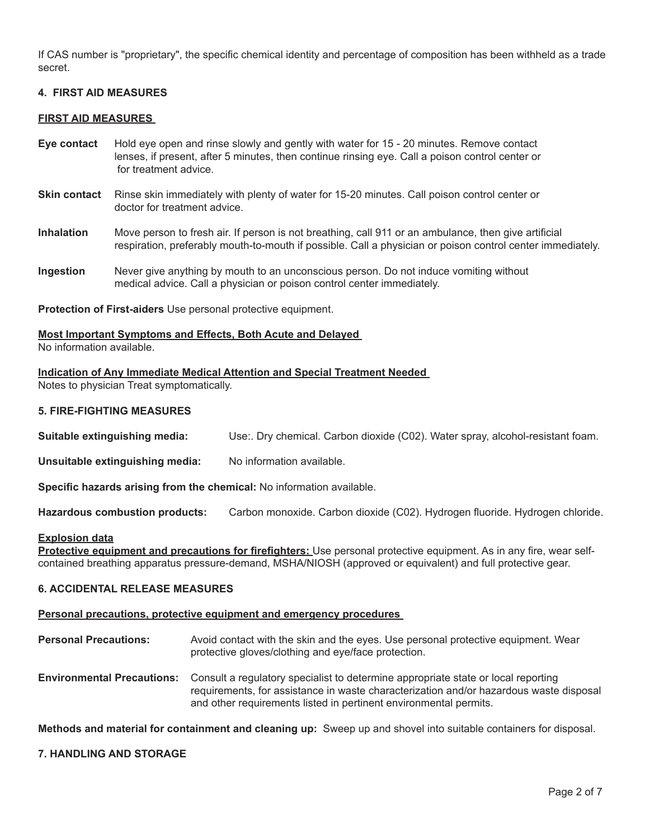If CAS number is "proprietary", the specific chemical identity and percentage of composition has been withheld as a trade secret.

#### **4. FIRST AID MEASURES**

#### **FIRST AID MEASURES**

- **Eye contact** Hold eye open and rinse slowly and gently with water for 15 20 minutes. Remove contact lenses, if present, after 5 minutes, then continue rinsing eye. Call a poison control center or for treatment advice.
- **Skin contact** Rinse skin immediately with plenty of water for 15-20 minutes. Call poison control center or doctor for treatment advice.
- **Inhalation** Move person to fresh air. If person is not breathing, call 911 or an ambulance, then give artificial respiration, preferably mouth-to-mouth if possible. Call a physician or poison control center immediately.
- **Ingestion** Never give anything by mouth to an unconscious person. Do not induce vomiting without medical advice. Call a physician or poison control center immediately.

**Protection of First-aiders** Use personal protective equipment.

## **Most Important Symptoms and Effects, Both Acute and Delayed**

No information available.

#### **Indication of Any Immediate Medical Attention and Special Treatment Needed**

Notes to physician Treat symptomatically.

#### **5. FIRE-FIGHTING MEASURES**

**Suitable extinguishing media:** Use:. Dry chemical. Carbon dioxide (C02). Water spray, alcohol-resistant foam.

**Unsuitable extinguishing media:** No information available.

**Specific hazards arising from the chemical:** No information available.

**Hazardous combustion products:** Carbon monoxide. Carbon dioxide (C02). Hydrogen fluoride. Hydrogen chloride.

#### **Explosion data**

**Protective equipment and precautions for firefighters:** Use personal protective equipment. As in any fire, wear selfcontained breathing apparatus pressure-demand, MSHA/NIOSH (approved or equivalent) and full protective gear.

#### **6. ACCIDENTAL RELEASE MEASURES**

#### **Personal precautions, protective equipment and emergency procedures**

- **Personal Precautions:** Avoid contact with the skin and the eyes. Use personal protective equipment. Wear protective gloves/clothing and eye/face protection.
- **Environmental Precautions:** Consult a regulatory specialist to determine appropriate state or local reporting requirements, for assistance in waste characterization and/or hazardous waste disposal and other requirements listed in pertinent environmental permits.

**Methods and material for containment and cleaning up:** Sweep up and shovel into suitable containers for disposal.

#### **7. HANDLING AND STORAGE**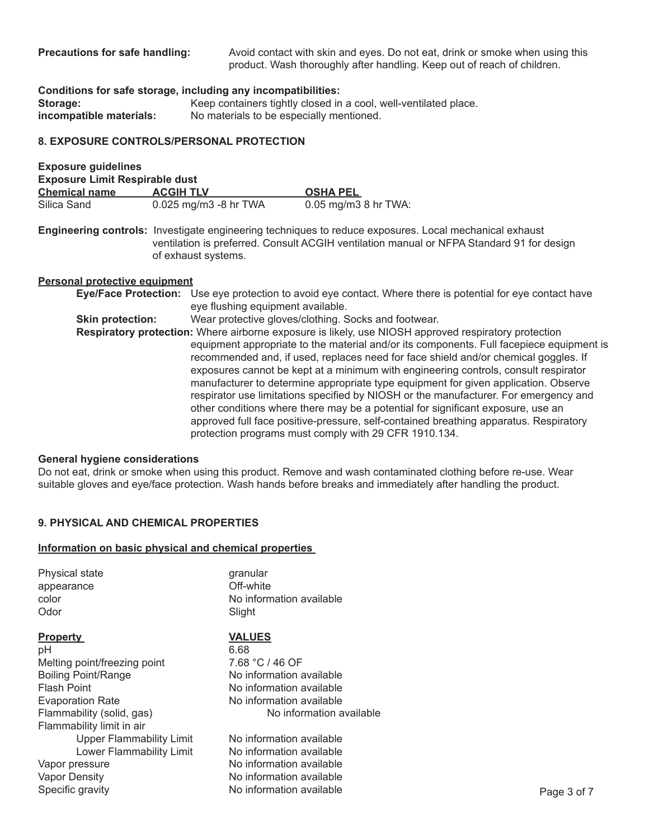**Precautions for safe handling:** Avoid contact with skin and eyes. Do not eat, drink or smoke when using this product. Wash thoroughly after handling. Keep out of reach of children.

**Conditions for safe storage, including any incompatibilities:** 

of exhaust systems.

**Storage:** Keep containers tightly closed in a cool, well-ventilated place.<br> **incompatible materials:** No materials to be especially mentioned. No materials to be especially mentioned.

## **8. EXPOSURE CONTROLS/PERSONAL PROTECTION**

| <b>Exposure guidelines</b>            |                                                                                                                                                                                                     |                      |
|---------------------------------------|-----------------------------------------------------------------------------------------------------------------------------------------------------------------------------------------------------|----------------------|
| <b>Exposure Limit Respirable dust</b> |                                                                                                                                                                                                     |                      |
| <b>Chemical name</b>                  | <b>ACGIH TLV</b>                                                                                                                                                                                    | <b>OSHA PEL</b>      |
| Silica Sand                           | 0.025 mg/m3 -8 hr TWA                                                                                                                                                                               | 0.05 mg/m3 8 hr TWA: |
|                                       | Engineering controls: Investigate engineering techniques to reduce exposures. Local mechanical exhaust<br>ventilation is preferred. Consult ACGIH ventilation manual or NFPA Standard 91 for design |                      |

#### **Personal protective equipment**

|                         | Eye/Face Protection: Use eye protection to avoid eye contact. Where there is potential for eye contact have |
|-------------------------|-------------------------------------------------------------------------------------------------------------|
|                         | eye flushing equipment available.                                                                           |
| <b>Skin protection:</b> | Wear protective gloves/clothing. Socks and footwear.                                                        |
|                         | Respiratory protection: Where airborne exposure is likely, use NIOSH approved respiratory protection        |
|                         | equipment appropriate to the material and/or its components. Full facepiece equipment is                    |
|                         | recommended and, if used, replaces need for face shield and/or chemical goggles. If                         |
|                         | exposures cannot be kept at a minimum with engineering controls, consult respirator                         |
|                         | manufacturer to determine appropriate type equipment for given application. Observe                         |
|                         | respirator use limitations specified by NIOSH or the manufacturer. For emergency and                        |
|                         | other conditions where there may be a potential for significant exposure, use an                            |
|                         | approved full face positive-pressure, self-contained breathing apparatus. Respiratory                       |
|                         | protection programs must comply with 29 CFR 1910.134.                                                       |

#### **General hygiene considerations**

Do not eat, drink or smoke when using this product. Remove and wash contaminated clothing before re-use. Wear suitable gloves and eye/face protection. Wash hands before breaks and immediately after handling the product.

#### **9. PHYSICAL AND CHEMICAL PROPERTIES**

#### **Information on basic physical and chemical properties**

| <b>Physical state</b>           | granular                 |             |
|---------------------------------|--------------------------|-------------|
| appearance                      | Off-white                |             |
| color                           | No information available |             |
| Odor                            | Slight                   |             |
| <b>Property</b>                 | <b>VALUES</b>            |             |
| рH                              | 6.68                     |             |
| Melting point/freezing point    | 7.68 °C / 46 OF          |             |
| <b>Boiling Point/Range</b>      | No information available |             |
| <b>Flash Point</b>              | No information available |             |
| <b>Evaporation Rate</b>         | No information available |             |
| Flammability (solid, gas)       | No information available |             |
| Flammability limit in air       |                          |             |
| <b>Upper Flammability Limit</b> | No information available |             |
| Lower Flammability Limit        | No information available |             |
| Vapor pressure                  | No information available |             |
| Vapor Density                   | No information available |             |
| Specific gravity                | No information available | Page 3 of 7 |
|                                 |                          |             |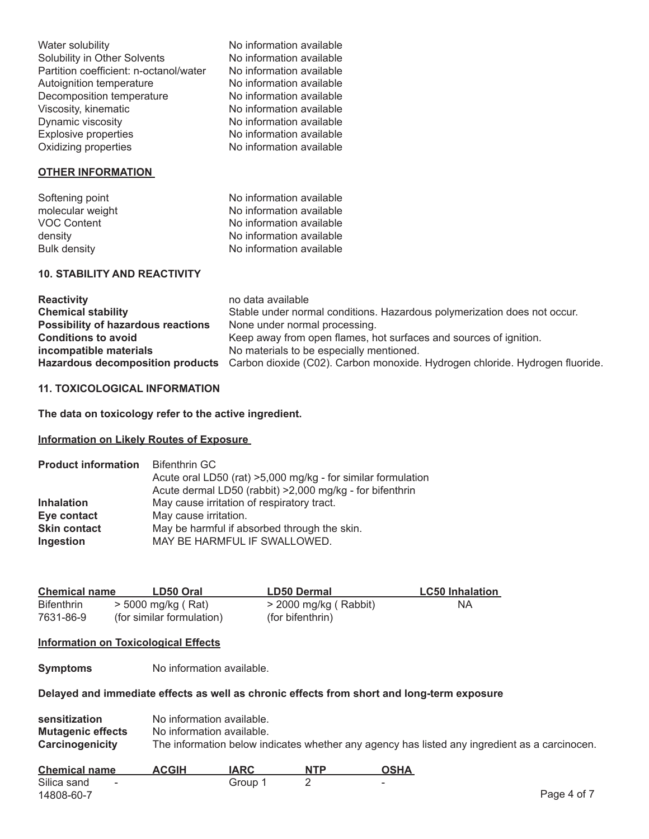| Water solubility                       | No information available |
|----------------------------------------|--------------------------|
| Solubility in Other Solvents           | No information available |
| Partition coefficient: n-octanol/water | No information available |
| Autoignition temperature               | No information available |
| Decomposition temperature              | No information available |
| Viscosity, kinematic                   | No information available |
| Dynamic viscosity                      | No information available |
| <b>Explosive properties</b>            | No information available |
| Oxidizing properties                   | No information available |
| <b>OTHER INFORMATION</b>               |                          |
| Softening point                        | No information available |
| molecular weight                       | No information available |
| <b>VOC Content</b>                     | No information available |
| density                                | No information available |
| Bulk density                           | No information available |
| <b>10. STABILITY AND REACTIVITY</b>    |                          |
| <b>Reactivity</b>                      | no data available        |

| <b>Reactivity</b>                  | no data available                                                                                             |
|------------------------------------|---------------------------------------------------------------------------------------------------------------|
| <b>Chemical stability</b>          | Stable under normal conditions. Hazardous polymerization does not occur.                                      |
| Possibility of hazardous reactions | None under normal processing.                                                                                 |
| <b>Conditions to avoid</b>         | Keep away from open flames, hot surfaces and sources of ignition.                                             |
| incompatible materials             | No materials to be especially mentioned.                                                                      |
|                                    | Hazardous decomposition products Carbon dioxide (C02). Carbon monoxide. Hydrogen chloride. Hydrogen fluoride. |

## **11. TOXICOLOGICAL INFORMATION**

**The data on toxicology refer to the active ingredient.**

#### **Information on Likely Routes of Exposure**

| <b>Product information</b> | <b>Bifenthrin GC</b>                                         |  |
|----------------------------|--------------------------------------------------------------|--|
|                            | Acute oral LD50 (rat) >5,000 mg/kg - for similar formulation |  |
|                            | Acute dermal LD50 (rabbit) >2,000 mg/kg - for bifenthrin     |  |
| <b>Inhalation</b>          | May cause irritation of respiratory tract.                   |  |
| Eye contact                | May cause irritation.                                        |  |
| <b>Skin contact</b>        | May be harmful if absorbed through the skin.                 |  |
| Ingestion                  | MAY BE HARMFUL IF SWALLOWED.                                 |  |

| <b>Chemical name</b> | LD50 Oral                 | <b>LD50 Dermal</b>       | <b>LC50 Inhalation</b> |
|----------------------|---------------------------|--------------------------|------------------------|
| <b>Bifenthrin</b>    | > 5000 mg/kg ( Rat)       | $>$ 2000 mg/kg ( Rabbit) | NA.                    |
| 7631-86-9            | (for similar formulation) | (for bifenthrin)         |                        |

## **Information on Toxicological Effects**

**Symptoms** No information available.

## **Delayed and immediate effects as well as chronic effects from short and long-term exposure**

| sensitization            | No information available.                                                                     |
|--------------------------|-----------------------------------------------------------------------------------------------|
| <b>Mutagenic effects</b> | No information available.                                                                     |
| Carcinogenicity          | The information below indicates whether any agency has listed any ingredient as a carcinocen. |

| <b>Chemical name</b>  | <b>ACGIH</b> | <b>IARC</b> | <b>NTP</b> | OSHA                     |             |
|-----------------------|--------------|-------------|------------|--------------------------|-------------|
| Silica sand<br>$\sim$ |              | Group 1     |            | $\overline{\phantom{0}}$ |             |
| 14808-60-7            |              |             |            |                          | Page 4 of 7 |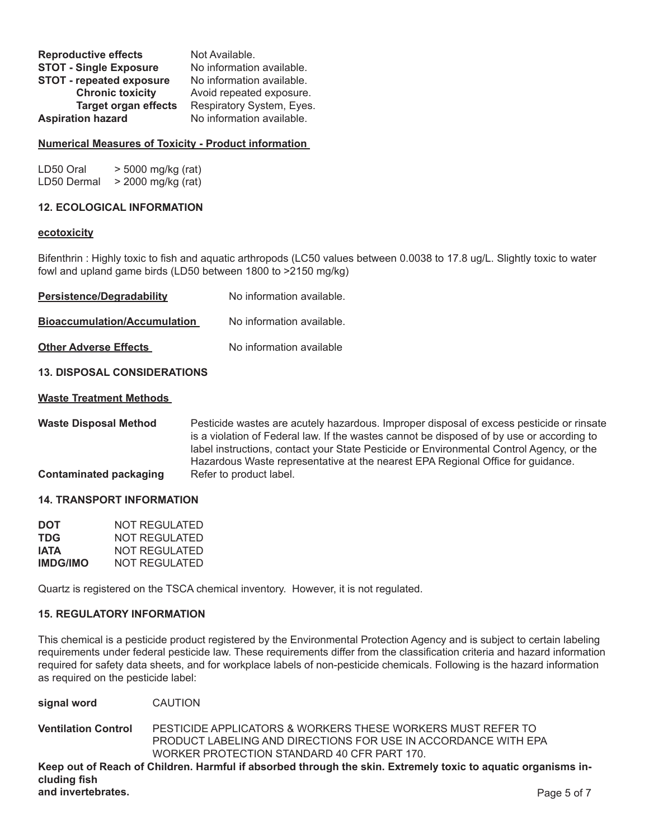| <b>Reproductive effects</b>   | Not Available.            |
|-------------------------------|---------------------------|
| <b>STOT - Single Exposure</b> | No information available. |
| STOT - repeated exposure      | No information available. |
| <b>Chronic toxicity</b>       | Avoid repeated exposure.  |
| <b>Target organ effects</b>   | Respiratory System, Eyes. |
| <b>Aspiration hazard</b>      | No information available. |

#### **Numerical Measures of Toxicity - Product information**

| LD50 Oral   | > 5000 mg/kg (rat) |
|-------------|--------------------|
| LD50 Dermal | > 2000 mg/kg (rat) |

#### **12. ECOLOGICAL INFORMATION**

#### **ecotoxicity**

Bifenthrin : Highly toxic to fish and aquatic arthropods (LC50 values between 0.0038 to 17.8 ug/L. Slightly toxic to water fowl and upland game birds (LD50 between 1800 to >2150 mg/kg)

**Persistence/Degradability** No information available.

**Bioaccumulation/Accumulation** No information available.

**Other Adverse Effects** No information available

#### **13. DISPOSAL CONSIDERATIONS**

#### **Waste Treatment Methods**

**Waste Disposal Method** Pesticide wastes are acutely hazardous. Improper disposal of excess pesticide or rinsate is a violation of Federal law. If the wastes cannot be disposed of by use or according to label instructions, contact your State Pesticide or Environmental Control Agency, or the Hazardous Waste representative at the nearest EPA Regional Office for guidance. **Contaminated packaging •• Refer to product label.** 

#### **14. TRANSPORT INFORMATION**

| <b>DOT</b>      | NOT REGULATED |
|-----------------|---------------|
| <b>TDG</b>      | NOT REGULATED |
| IATA            | NOT REGULATED |
| <b>IMDG/IMO</b> | NOT REGULATED |

Quartz is registered on the TSCA chemical inventory. However, it is not regulated.

#### **15. REGULATORY INFORMATION**

This chemical is a pesticide product registered by the Environmental Protection Agency and is subject to certain labeling requirements under federal pesticide law. These requirements differ from the classification criteria and hazard information required for safety data sheets, and for workplace labels of non-pesticide chemicals. Following is the hazard information as required on the pesticide label:

| signal word | <b>CAUTION</b> |
|-------------|----------------|
|-------------|----------------|

**Ventilation Control** PESTICIDE APPLICATORS & WORKERS THESE WORKERS MUST REFER TO PRODUCT LABELING AND DIRECTIONS FOR USE IN ACCORDANCE WITH EPA WORKER PROTECTION STANDARD 40 CFR PART 170.

**Keep out of Reach of Children. Harmful if absorbed through the skin. Extremely toxic to aquatic organisms including fish and invertebrates.** Page 5 of 7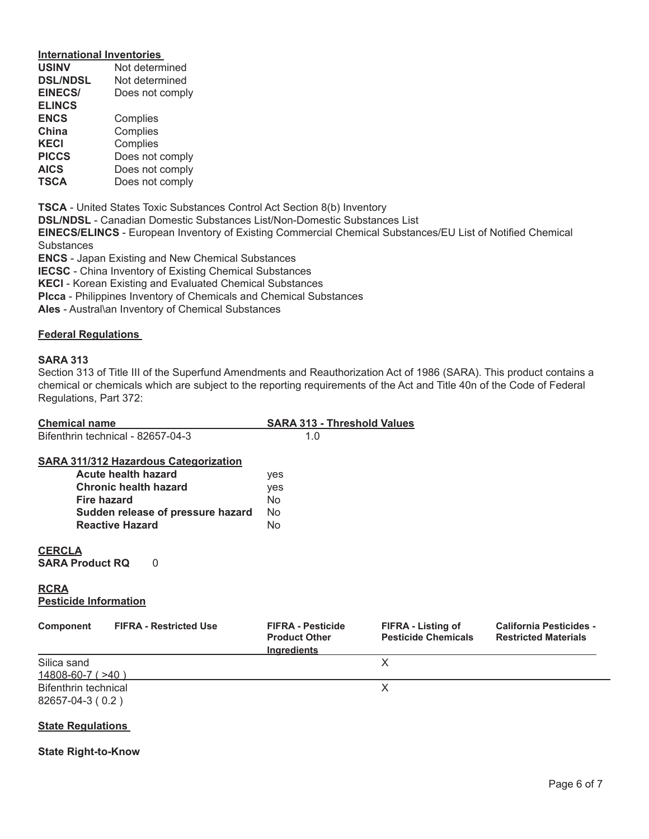## **International Inventories**

| <b>USINV</b>    | Not determined  |  |  |
|-----------------|-----------------|--|--|
| <b>DSL/NDSL</b> | Not determined  |  |  |
| <b>EINECS/</b>  | Does not comply |  |  |
| <b>ELINCS</b>   |                 |  |  |
| <b>ENCS</b>     | Complies        |  |  |
| China           | Complies        |  |  |
| KECI            | Complies        |  |  |
| <b>PICCS</b>    | Does not comply |  |  |
| <b>AICS</b>     | Does not comply |  |  |
| <b>TSCA</b>     | Does not comply |  |  |
|                 |                 |  |  |

**TSCA** - United States Toxic Substances Control Act Section 8(b) Inventory

**DSL/NDSL** - Canadian Domestic Substances List/Non-Domestic Substances List

**EINECS/ELINCS** - European Inventory of Existing Commercial Chemical Substances/EU List of Notified Chemical **Substances** 

**ENCS** - Japan Existing and New Chemical Substances

**IECSC** - China Inventory of Existing Chemical Substances

**KECl** - Korean Existing and Evaluated Chemical Substances

**Plcca** - Philippines Inventory of Chemicals and Chemical Substances

**Ales** - Austral\an Inventory of Chemical Substances

## **Federal Regulations**

#### **SARA 313**

Section 313 of Title III of the Superfund Amendments and Reauthorization Act of 1986 (SARA). This product contains a chemical or chemicals which are subject to the reporting requirements of the Act and Title 40n of the Code of Federal Regulations, Part 372:

| <b>Chemical name</b>                                        | <b>SARA 313 - Threshold Values</b>                                     |                                                  |  |  |
|-------------------------------------------------------------|------------------------------------------------------------------------|--------------------------------------------------|--|--|
| Bifenthrin technical - 82657-04-3                           | 1.0                                                                    |                                                  |  |  |
| <b>SARA 311/312 Hazardous Categorization</b>                |                                                                        |                                                  |  |  |
| Acute health hazard                                         | yes                                                                    |                                                  |  |  |
| <b>Chronic health hazard</b>                                | yes                                                                    |                                                  |  |  |
| <b>Fire hazard</b>                                          | No.                                                                    |                                                  |  |  |
| Sudden release of pressure hazard                           | No.                                                                    |                                                  |  |  |
| <b>Reactive Hazard</b>                                      | No.                                                                    |                                                  |  |  |
| <b>CERCLA</b><br><b>SARA Product RQ</b><br>0<br><b>RCRA</b> |                                                                        |                                                  |  |  |
| <b>Pesticide Information</b>                                |                                                                        |                                                  |  |  |
| <b>FIFRA - Restricted Use</b><br>Component                  | <b>FIFRA - Pesticide</b><br><b>Product Other</b><br><b>Ingredients</b> | FIFRA - Listing of<br><b>Pesticide Chemicals</b> |  |  |
| Silica sand                                                 |                                                                        | X                                                |  |  |
| $14808 - 60 - 7$ ( $>40$ )                                  |                                                                        |                                                  |  |  |
| <b>Bifenthrin technical</b>                                 |                                                                        | X                                                |  |  |

#### **State Regulations**

82657-04-3 ( 0.2 )

**State Right-to-Know**

**California Pesticides -Restricted Materials**